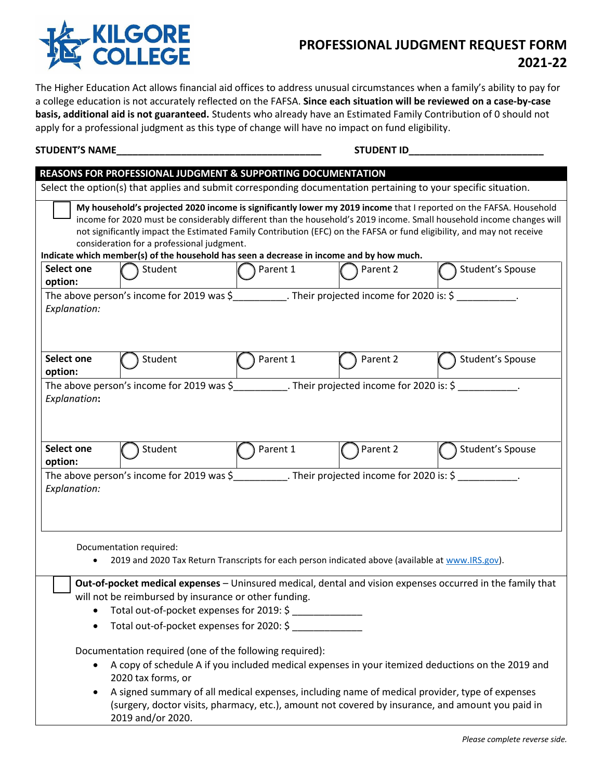

## **PROFESSIONAL JUDGMENT REQUEST FORM 2021-22**

The Higher Education Act allows financial aid offices to address unusual circumstances when a family's ability to pay for a college education is not accurately reflected on the FAFSA. **Since each situation will be reviewed on a case-by-case basis, additional aid is not guaranteed.** Students who already have an Estimated Family Contribution of 0 should not apply for a professional judgment as this type of change will have no impact on fund eligibility.

## **STUDENT'S NAME\_\_\_\_\_\_\_\_\_\_\_\_\_\_\_\_\_\_\_\_\_\_\_\_\_\_\_\_\_\_\_\_\_\_\_\_\_\_ STUDENT ID\_\_\_\_\_\_\_\_\_\_\_\_\_\_\_\_\_\_\_\_\_\_\_\_\_**

|                              |                                            | REASONS FOR PROFESSIONAL JUDGMENT & SUPPORTING DOCUMENTATION                                                                                      |          |                                                                                                                                                                                                                                                                                                                                                                      |
|------------------------------|--------------------------------------------|---------------------------------------------------------------------------------------------------------------------------------------------------|----------|----------------------------------------------------------------------------------------------------------------------------------------------------------------------------------------------------------------------------------------------------------------------------------------------------------------------------------------------------------------------|
|                              |                                            |                                                                                                                                                   |          | Select the option(s) that applies and submit corresponding documentation pertaining to your specific situation.                                                                                                                                                                                                                                                      |
|                              | consideration for a professional judgment. | Indicate which member(s) of the household has seen a decrease in income and by how much.                                                          |          | My household's projected 2020 income is significantly lower my 2019 income that I reported on the FAFSA. Household<br>income for 2020 must be considerably different than the household's 2019 income. Small household income changes will<br>not significantly impact the Estimated Family Contribution (EFC) on the FAFSA or fund eligibility, and may not receive |
| Select one<br>option:        | Student                                    | Parent 1                                                                                                                                          | Parent 2 | Student's Spouse                                                                                                                                                                                                                                                                                                                                                     |
| Explanation:                 |                                            | The above person's income for 2019 was \$__________. Their projected income for 2020 is: \$                                                       |          |                                                                                                                                                                                                                                                                                                                                                                      |
| Select one<br>option:        | Student                                    | Parent 1                                                                                                                                          | Parent 2 | Student's Spouse                                                                                                                                                                                                                                                                                                                                                     |
| Explanation:                 |                                            | The above person's income for 2019 was \$____________. Their projected income for 2020 is: \$ ____________.                                       |          |                                                                                                                                                                                                                                                                                                                                                                      |
| <b>Select one</b><br>option: | Student                                    | Parent 1                                                                                                                                          | Parent 2 | Student's Spouse                                                                                                                                                                                                                                                                                                                                                     |
| Explanation:                 |                                            | The above person's income for 2019 was $\frac{2019}{100}$ was $\frac{2019}{100}$ . Their projected income for 2020 is: $\frac{2010}{100}$         |          |                                                                                                                                                                                                                                                                                                                                                                      |
|                              | Documentation required:                    | 2019 and 2020 Tax Return Transcripts for each person indicated above (available at www.IRS.gov).                                                  |          |                                                                                                                                                                                                                                                                                                                                                                      |
|                              |                                            | will not be reimbursed by insurance or other funding.<br>• Total out-of-pocket expenses for 2019: \$<br>Total out-of-pocket expenses for 2020: \$ |          | Out-of-pocket medical expenses - Uninsured medical, dental and vision expenses occurred in the family that                                                                                                                                                                                                                                                           |
| $\bullet$                    | 2020 tax forms, or<br>2019 and/or 2020.    | Documentation required (one of the following required):                                                                                           |          | A copy of schedule A if you included medical expenses in your itemized deductions on the 2019 and<br>A signed summary of all medical expenses, including name of medical provider, type of expenses<br>(surgery, doctor visits, pharmacy, etc.), amount not covered by insurance, and amount you paid in                                                             |